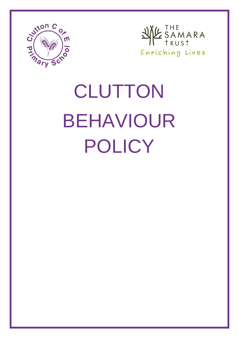



# **CLUTTON** BEHAVIOUR POLICY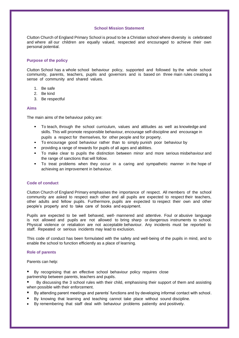### **School Mission Statement**

Clutton Church of England Primary School is proud to be a Christian school where diversity is celebrated and where all our children are equally valued, respected and encouraged to achieve their own personal potential.

## **Purpose of the policy**

Clutton School has a whole school behaviour policy, supported and followed by the whole school community, parents, teachers, pupils and governors and is based on three main rules creating a sense of community and shared values.

- 1. Be safe
- 2. Be kind
- 3. Be respectful

### **Aims**

The main aims of the behaviour policy are:

- To teach, through the school curriculum, values and attitudes as well as knowledge and skills. This will promote responsible behaviour, encourage self-discipline and encourage in pupils a respect for themselves, for other people and for property.
- To encourage good behaviour rather than to simply punish poor behaviour by
- providing a range of rewards for pupils of all ages and abilities.
- To make clear to pupils the distinction between minor and more serious misbehaviour and the range of sanctions that will follow.
- To treat problems when they occur in a caring and sympathetic manner in the hope of achieving an improvement in behaviour.

# **Code of conduct**

Clutton Church of England Primary emphasises the importance of respect. All members of the school community are asked to respect each other and all pupils are expected to respect their teachers, other adults and fellow pupils. Furthermore, pupils are expected to respect their own and other people's property and to take care of books and equipment.

Pupils are expected to be well behaved, well- mannered and attentive. Foul or abusive language is not allowed and pupils are not allowed to bring sharp or dangerous instruments to school. Physical violence or retaliation are not acceptable behaviour. Any incidents must be reported to staff. Repeated or serious incidents may lead to exclusion.

This code of conduct has been formulated with the safety and well-being of the pupils in mind, and to enable the school to function efficiently as a place of learning.

### **Role of parents**

Parents can help:

- By recognising that an effective school behaviour policy requires close partnership between parents, teachers and pupils.
- By discussing the 3 school rules with their child, emphasising their support of them and assisting when possible with their enforcement.
- By attending parent meetings and parents' functions and by developing informal contact with school.
- By knowing that learning and teaching cannot take place without sound discipline.
- By remembering that staff deal with behaviour problems patiently and positively.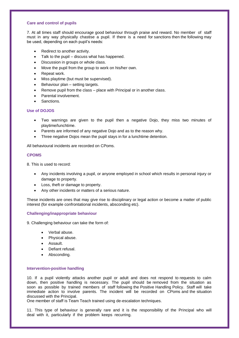### **Care and control of pupils**

7. At all times staff should encourage good behaviour through praise and reward. No member of staff must in any way physically chastise a pupil. If there is a need for sanctions then the following may be used, depending on each pupil's needs:

- Redirect to another activity.
- Talk to the pupil discuss what has happened.
- Discussion in groups or whole class.
- Move the pupil from the group to work on his/her own.
- Repeat work.
- Miss playtime (but must be supervised).
- Behaviour plan setting targets.
- Remove pupil from the class place with Principal or in another class.
- Parental involvement.
- Sanctions.

# **Use of DOJOS**

- Two warnings are given to the pupil then a negative Dojo, they miss two minutes of playtime/lunchtime.
- Parents are informed of any negative Dojo and as to the reason why.
- Three negative Dojos mean the pupil stays in for a lunchtime detention.

All behavioural incidents are recorded on CPoms.

### **CPOMS**

8. This is used to record:

- Any incidents involving a pupil, or anyone employed in school which results in personal injury or damage to property.
- Loss, theft or damage to property.
- Any other incidents or matters of a serious nature.

These incidents are ones that may give rise to disciplinary or legal action or become a matter of public interest (for example confrontational incidents, absconding etc).

### **Challenging/inappropriate behaviour**

9. Challenging behaviour can take the form of:

- Verbal abuse.
- Physical abuse.
- Assault.
- Defiant refusal.
- Absconding.

### **Intervention-positive handling**

10. If a pupil violently attacks another pupil or adult and does not respond to requests to calm down, then positive handling is necessary. The pupil should be removed from the situation as soon as possible by trained members of staff following the Positive Handling Policy. Staff will take immediate action to involve parents. The incident will be recorded on CPoms and the situation discussed with the Principal.

One member of staff is Team Teach trained using de-escalation techniques.

11. This type of behaviour is generally rare and it is the responsibility of the Principal who will deal with it, particularly if the problem keeps recurring.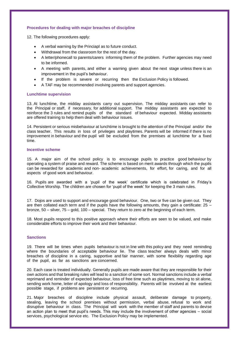### **Procedures for dealing with major breaches of discipline**

12. The following procedures apply:

- A verbal warning by the Princiapl as to future conduct.
- Withdrawal from the classroom for the rest of the day.
- A letter/phonecall to parents/carers informing them of the problem. Further agencies may need to be informed.
- A meeting with parents, and either a warning given about the next stage unless there is an improvement in the pupil's behaviour.
- If the problem is severe or recurring then the Exclusion Policy is followed.
- A TAF may be recommended involving parents and support agencies.

### **Lunchtime supervision**

13. At lunchtime, the midday assistants carry out supervision. The midday assistants can refer to the Principal or staff, if necessary, for additional support. The midday assistants are expected to reinforce the 3 rules and remind pupils of the standard of behaviour expected. Midday assistants are offered training to help them deal with behaviour issues.

14. Persistent or serious misbehaviour at lunchtime is brought to the attention of the Principal and/or the class teacher. This results in loss of privileges and playtimes. Parents will be informed if there is no improvement in behaviour and the pupil will be excluded from the premises at lunchtime for a fixed time.

### **Incentive scheme**

15. A major aim of the school policy is to encourage pupils to practice good behaviour by operating a system of praise and reward. The scheme is based on merit awards through which the pupils can be rewarded for academic and non- academic achievements, for effort, for caring, and for all aspects of good work and behaviour.

16. Pupils are awarded with a 'pupil of the week' certificate which is celebrated in Friday's Collective Worship. The children are chosen for 'pupil of the week' for keeping the 3 main rules.

17. Dojos are used to support and encourage good behaviour. One, two or five can be given out. They are then collated each term and if the pupils have the following amounts, they gain a certificate:  $25$ bronze, 50 – silver, 75 – gold, 100 – special. They return to zero at the beginning of each term.

18. Most pupils respond to this positive approach where their efforts are seen to be valued, and make considerable efforts to improve their work and their behaviour.

# **Sanctions**

19. There will be times when pupils behaviour is not in line with this policy and they need reminding where the boundaries of acceptable behaviour lie. The class teacher always deals with minor breaches of discipline in a caring, supportive and fair manner, with some flexibility regarding age of the pupil, as far as sanctions are concerned.

20. Each case is treated individually. Generally pupils are made aware that they are responsible for their own actions and that breaking rules will lead to a sanction of some sort. Normal sanctions include a verbal reprimand and reminder of expected behaviour, loss of free time such as playtimes, moving to sit alone, sending work home, letter of apology and loss of responsibility. Parents will be involved at the earliest possible stage, if problems are persistent or recurring.

21. Major breaches of discipline include physical assault, deliberate damage to property, stealing, leaving the school premises without permission, verbal abuse, refusal to work and disruptive behaviour in class. The Principal will work with the member of staff and parents to devise an action plan to meet that pupil's needs. This may include the involvement of other agencies – social services, psychological service etc. The Exclusion Policy may be implemented.